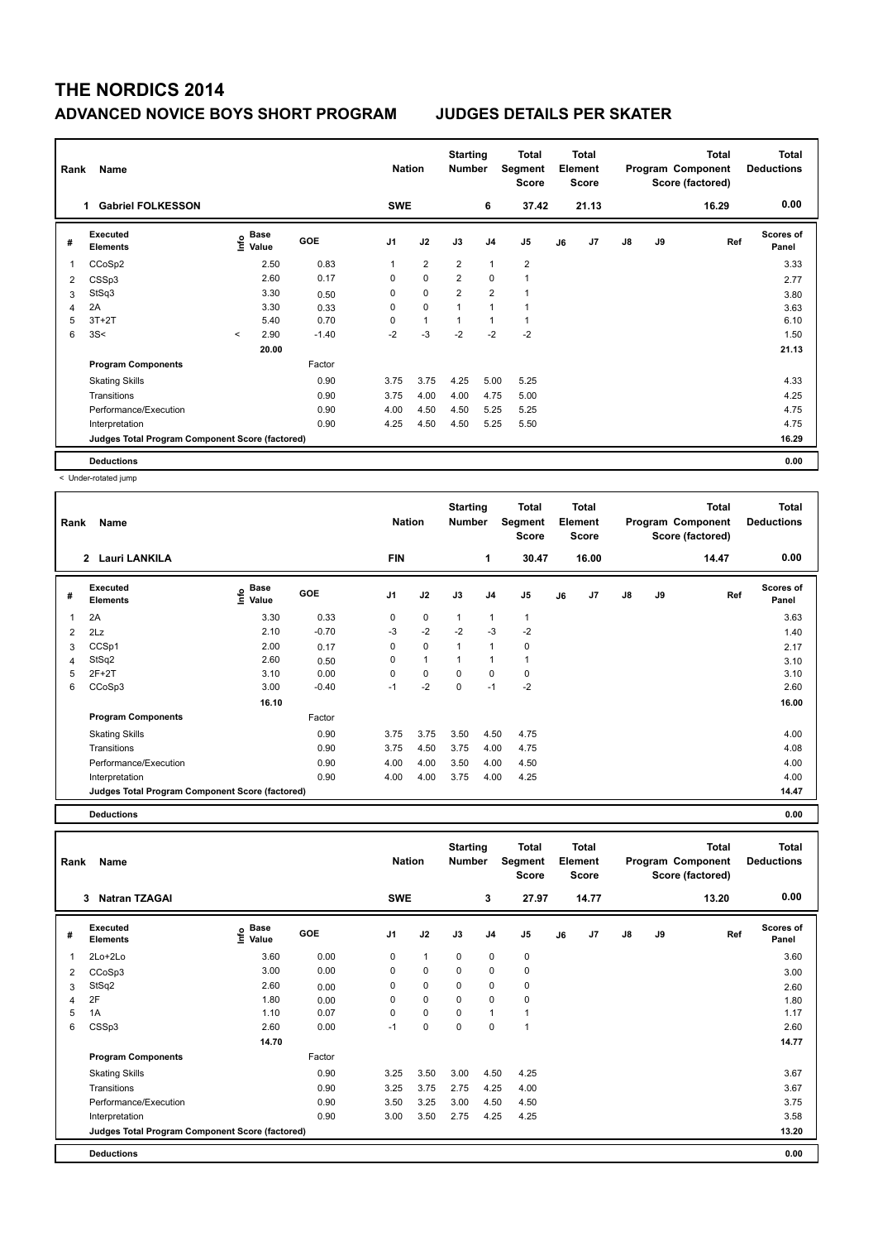## **THE NORDICS 2014 ADVANCED NOVICE BOYS SHORT PROGRAM JUDGES DETAILS PER SKATER**

| Name<br>Rank   |                                                 |         |                           |            |                | <b>Nation</b>  |                | <b>Starting</b><br><b>Number</b> | Total<br>Segment<br><b>Score</b> | <b>Total</b><br>Element<br><b>Score</b> |       |               |    | <b>Total</b><br>Program Component<br>Score (factored) | <b>Total</b><br><b>Deductions</b> |
|----------------|-------------------------------------------------|---------|---------------------------|------------|----------------|----------------|----------------|----------------------------------|----------------------------------|-----------------------------------------|-------|---------------|----|-------------------------------------------------------|-----------------------------------|
|                | <b>Gabriel FOLKESSON</b><br>1.                  |         |                           |            | <b>SWE</b>     |                |                | 6                                | 37.42                            |                                         | 21.13 |               |    | 16.29                                                 | 0.00                              |
| #              | Executed<br><b>Elements</b>                     |         | Base<br>e Base<br>⊆ Value | <b>GOE</b> | J <sub>1</sub> | J2             | J3             | J <sub>4</sub>                   | J <sub>5</sub>                   | J6                                      | J7    | $\mathsf{J}8$ | J9 | Ref                                                   | <b>Scores of</b><br>Panel         |
| 1              | CCoSp2                                          |         | 2.50                      | 0.83       |                | $\overline{2}$ | $\overline{2}$ | $\mathbf{1}$                     | 2                                |                                         |       |               |    |                                                       | 3.33                              |
| $\overline{2}$ | CSSp3                                           |         | 2.60                      | 0.17       | 0              | $\mathbf 0$    | $\overline{2}$ | $\mathbf 0$                      | 1                                |                                         |       |               |    |                                                       | 2.77                              |
| 3              | StSq3                                           |         | 3.30                      | 0.50       | 0              | $\mathbf 0$    | $\overline{2}$ | $\overline{2}$                   | 1                                |                                         |       |               |    |                                                       | 3.80                              |
| 4              | 2A                                              |         | 3.30                      | 0.33       | 0              | $\mathbf 0$    | $\overline{1}$ | $\overline{1}$                   | 1                                |                                         |       |               |    |                                                       | 3.63                              |
| 5              | $3T+2T$                                         |         | 5.40                      | 0.70       | 0              | $\overline{1}$ |                |                                  | 1                                |                                         |       |               |    |                                                       | 6.10                              |
| 6              | 3S<                                             | $\prec$ | 2.90                      | $-1.40$    | $-2$           | $-3$           | $-2$           | $-2$                             | $-2$                             |                                         |       |               |    |                                                       | 1.50                              |
|                |                                                 |         | 20.00                     |            |                |                |                |                                  |                                  |                                         |       |               |    |                                                       | 21.13                             |
|                | <b>Program Components</b>                       |         |                           | Factor     |                |                |                |                                  |                                  |                                         |       |               |    |                                                       |                                   |
|                | <b>Skating Skills</b>                           |         |                           | 0.90       | 3.75           | 3.75           | 4.25           | 5.00                             | 5.25                             |                                         |       |               |    |                                                       | 4.33                              |
|                | Transitions                                     |         |                           | 0.90       | 3.75           | 4.00           | 4.00           | 4.75                             | 5.00                             |                                         |       |               |    |                                                       | 4.25                              |
|                | Performance/Execution                           |         |                           | 0.90       | 4.00           | 4.50           | 4.50           | 5.25                             | 5.25                             |                                         |       |               |    |                                                       | 4.75                              |
|                | Interpretation                                  |         |                           | 0.90       | 4.25           | 4.50           | 4.50           | 5.25                             | 5.50                             |                                         |       |               |    |                                                       | 4.75                              |
|                | Judges Total Program Component Score (factored) |         |                           |            |                |                |                |                                  |                                  |                                         |       |               |    |                                                       | 16.29                             |
|                | <b>Deductions</b>                               |         |                           |            |                |                |                |                                  |                                  |                                         |       |               |    |                                                       | 0.00                              |

< Under-rotated jump

| Rank | Name                                            |                              | <b>Nation</b> |                | <b>Starting</b><br><b>Number</b> | <b>Total</b><br>Segment<br><b>Score</b> | <b>Total</b><br>Element<br><b>Score</b> |                |    | <b>Total</b><br>Program Component<br>Score (factored) |               | <b>Total</b><br><b>Deductions</b> |       |                           |
|------|-------------------------------------------------|------------------------------|---------------|----------------|----------------------------------|-----------------------------------------|-----------------------------------------|----------------|----|-------------------------------------------------------|---------------|-----------------------------------|-------|---------------------------|
|      | <b>Lauri LANKILA</b><br>$\overline{2}$          |                              |               | <b>FIN</b>     |                                  |                                         | 1                                       | 30.47          |    | 16.00                                                 |               |                                   | 14.47 | 0.00                      |
| #    | Executed<br><b>Elements</b>                     | <b>Base</b><br>Lnfo<br>Value | <b>GOE</b>    | J <sub>1</sub> | J2                               | J3                                      | J <sub>4</sub>                          | J <sub>5</sub> | J6 | J <sub>7</sub>                                        | $\mathsf{J}8$ | J9                                | Ref   | <b>Scores of</b><br>Panel |
| 1    | 2A                                              | 3.30                         | 0.33          | 0              | 0                                | 1                                       | 1                                       | 1              |    |                                                       |               |                                   |       | 3.63                      |
| 2    | 2Lz                                             | 2.10                         | $-0.70$       | $-3$           | $-2$                             | $-2$                                    | $-3$                                    | $-2$           |    |                                                       |               |                                   |       | 1.40                      |
| 3    | CCSp1                                           | 2.00                         | 0.17          | 0              | 0                                | $\mathbf{1}$                            | 1                                       | $\mathbf 0$    |    |                                                       |               |                                   |       | 2.17                      |
| 4    | StSq2                                           | 2.60                         | 0.50          | 0              | $\mathbf{1}$                     | 1                                       | 1                                       | 1              |    |                                                       |               |                                   |       | 3.10                      |
| 5    | $2F+2T$                                         | 3.10                         | 0.00          | 0              | 0                                | 0                                       | 0                                       | $\mathbf 0$    |    |                                                       |               |                                   |       | 3.10                      |
| 6    | CCoSp3                                          | 3.00                         | $-0.40$       | $-1$           | $-2$                             | $\Omega$                                | $-1$                                    | $-2$           |    |                                                       |               |                                   |       | 2.60                      |
|      |                                                 | 16.10                        |               |                |                                  |                                         |                                         |                |    |                                                       |               |                                   |       | 16.00                     |
|      | <b>Program Components</b>                       |                              | Factor        |                |                                  |                                         |                                         |                |    |                                                       |               |                                   |       |                           |
|      | <b>Skating Skills</b>                           |                              | 0.90          | 3.75           | 3.75                             | 3.50                                    | 4.50                                    | 4.75           |    |                                                       |               |                                   |       | 4.00                      |
|      | Transitions                                     |                              | 0.90          | 3.75           | 4.50                             | 3.75                                    | 4.00                                    | 4.75           |    |                                                       |               |                                   |       | 4.08                      |
|      | Performance/Execution                           |                              | 0.90          | 4.00           | 4.00                             | 3.50                                    | 4.00                                    | 4.50           |    |                                                       |               |                                   |       | 4.00                      |
|      | Interpretation                                  |                              | 0.90          | 4.00           | 4.00                             | 3.75                                    | 4.00                                    | 4.25           |    |                                                       |               |                                   |       | 4.00                      |
|      | Judges Total Program Component Score (factored) |                              |               |                |                                  |                                         |                                         |                |    |                                                       |               |                                   |       | 14.47                     |

**Deductions 0.00**

**Total Deductions Total Program Component Score (factored) Total Element Segment Score Total Score Starting Rank Name Nation Number # Executed Elements Base Value GOE J1 J2 J3 J4 J5 J6 J7 J8 J9 Scores of Panel** 1 3.60 0.00 0 1 0 0 0 **Ref**  2Lo+2Lo 3.60 **Info 3 Natran TZAGAI SWE 3 27.97 14.77 13.20 0.00** 2 CCoSp3 3.00 0.00 0 0 0 0 0 3.00  $3 \quad \text{StSq2} \qquad \qquad 2.60 \qquad \qquad 0.00 \qquad \qquad 0 \qquad 0 \qquad \qquad 0 \qquad \qquad 0 \qquad \qquad 2.60$ 4 2F 1.80 0.00 0 0 0 0 0 1.80 5 1A 1.10 0.07 0 0 0 1 1 1.17 6 CSSp3 2.60 0.00 -1 0 0 0 1 2.60  **14.70 14.77 Program Components**  Skating Skills 3.25 3.50 3.00 4.50 4.25 Factor 0.90 3.25 3.50 3.00 4.50 4.25 Transitions 0.90 3.25 3.75 2.75 4.25 4.00 3.67 Performance/Execution 0.90 3.50 3.25 3.00 4.50 4.50 3.75 Interpretation 0.90 3.00 3.50 2.75 4.25 4.25 3.58 **Deductions 0.00 Judges Total Program Component Score (factored) 13.20**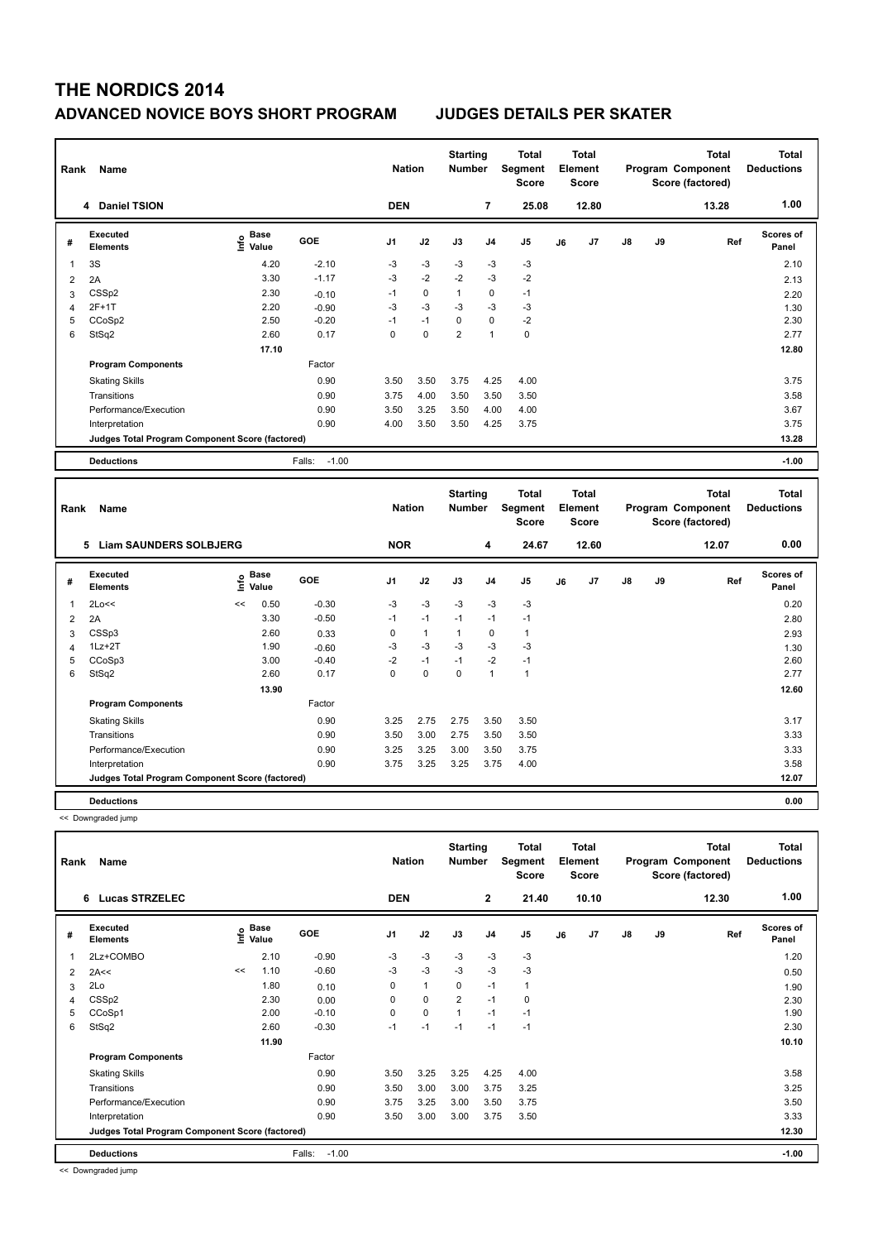# **THE NORDICS 2014 ADVANCED NOVICE BOYS SHORT PROGRAM JUDGES DETAILS PER SKATER**

| Name<br>Rank            |                                                 |                              |                   |                | <b>Nation</b> |                | <b>Starting</b><br><b>Number</b> | <b>Total</b><br>Segment<br><b>Score</b> | <b>Total</b><br>Element<br><b>Score</b> |       |               |    | <b>Total</b><br>Program Component<br>Score (factored) | <b>Total</b><br><b>Deductions</b> |
|-------------------------|-------------------------------------------------|------------------------------|-------------------|----------------|---------------|----------------|----------------------------------|-----------------------------------------|-----------------------------------------|-------|---------------|----|-------------------------------------------------------|-----------------------------------|
|                         | 4 Daniel TSION                                  |                              |                   | <b>DEN</b>     |               |                | $\overline{7}$                   | 25.08                                   |                                         | 12.80 |               |    | 13.28                                                 | 1.00                              |
| #                       | Executed<br><b>Elements</b>                     | <b>Base</b><br>Info<br>Value | <b>GOE</b>        | J <sub>1</sub> | J2            | J3             | J <sub>4</sub>                   | J <sub>5</sub>                          | J6                                      | J7    | $\mathsf{J}8$ | J9 | Ref                                                   | <b>Scores of</b><br>Panel         |
| $\overline{\mathbf{1}}$ | 3S                                              | 4.20                         | $-2.10$           | -3             | $-3$          | -3             | -3                               | $-3$                                    |                                         |       |               |    |                                                       | 2.10                              |
| 2                       | 2A                                              | 3.30                         | $-1.17$           | $-3$           | $-2$          | $-2$           | $-3$                             | $-2$                                    |                                         |       |               |    |                                                       | 2.13                              |
| 3                       | CSSp2                                           | 2.30                         | $-0.10$           | $-1$           | 0             |                | 0                                | $-1$                                    |                                         |       |               |    |                                                       | 2.20                              |
| 4                       | $2F+1T$                                         | 2.20                         | $-0.90$           | -3             | $-3$          | -3             | -3                               | $-3$                                    |                                         |       |               |    |                                                       | 1.30                              |
| 5                       | CCoSp2                                          | 2.50                         | $-0.20$           | $-1$           | $-1$          | $\mathbf 0$    | $\mathbf 0$                      | $-2$                                    |                                         |       |               |    |                                                       | 2.30                              |
| 6                       | StSq2                                           | 2.60                         | 0.17              | 0              | $\pmb{0}$     | $\overline{2}$ | $\mathbf{1}$                     | 0                                       |                                         |       |               |    |                                                       | 2.77                              |
|                         |                                                 | 17.10                        |                   |                |               |                |                                  |                                         |                                         |       |               |    |                                                       | 12.80                             |
|                         | <b>Program Components</b>                       |                              | Factor            |                |               |                |                                  |                                         |                                         |       |               |    |                                                       |                                   |
|                         | <b>Skating Skills</b>                           |                              | 0.90              | 3.50           | 3.50          | 3.75           | 4.25                             | 4.00                                    |                                         |       |               |    |                                                       | 3.75                              |
|                         | Transitions                                     |                              | 0.90              | 3.75           | 4.00          | 3.50           | 3.50                             | 3.50                                    |                                         |       |               |    |                                                       | 3.58                              |
|                         | Performance/Execution                           |                              | 0.90              | 3.50           | 3.25          | 3.50           | 4.00                             | 4.00                                    |                                         |       |               |    |                                                       | 3.67                              |
|                         | Interpretation                                  |                              | 0.90              | 4.00           | 3.50          | 3.50           | 4.25                             | 3.75                                    |                                         |       |               |    |                                                       | 3.75                              |
|                         | Judges Total Program Component Score (factored) |                              |                   |                |               |                |                                  |                                         |                                         |       |               |    |                                                       | 13.28                             |
|                         | <b>Deductions</b>                               |                              | $-1.00$<br>Falls: |                |               |                |                                  |                                         |                                         |       |               |    |                                                       | $-1.00$                           |

| Rank<br>Name |                                                 |      |                      |            |                | <b>Nation</b> |              | <b>Starting</b><br><b>Number</b> | Total<br>Segment<br><b>Score</b> | <b>Total</b><br>Element<br><b>Score</b> |       |               |    | <b>Total</b><br>Program Component<br>Score (factored) | <b>Total</b><br><b>Deductions</b> |
|--------------|-------------------------------------------------|------|----------------------|------------|----------------|---------------|--------------|----------------------------------|----------------------------------|-----------------------------------------|-------|---------------|----|-------------------------------------------------------|-----------------------------------|
|              | <b>Liam SAUNDERS SOLBJERG</b><br>5              |      |                      |            | <b>NOR</b>     |               |              | 4                                | 24.67                            |                                         | 12.60 |               |    | 12.07                                                 | 0.00                              |
| #            | Executed<br><b>Elements</b>                     | lnfo | <b>Base</b><br>Value | <b>GOE</b> | J <sub>1</sub> | J2            | J3           | J <sub>4</sub>                   | J <sub>5</sub>                   | J6                                      | J7    | $\mathsf{J}8$ | J9 | Ref                                                   | <b>Scores of</b><br>Panel         |
| 1            | 2Lo<<                                           | <<   | 0.50                 | $-0.30$    | $-3$           | $-3$          | $-3$         | -3                               | -3                               |                                         |       |               |    |                                                       | 0.20                              |
| 2            | 2A                                              |      | 3.30                 | $-0.50$    | $-1$           | $-1$          | $-1$         | $-1$                             | $-1$                             |                                         |       |               |    |                                                       | 2.80                              |
| 3            | CSSp3                                           |      | 2.60                 | 0.33       | 0              | $\mathbf{1}$  | $\mathbf{1}$ | 0                                | $\mathbf{1}$                     |                                         |       |               |    |                                                       | 2.93                              |
| 4            | $1Lz + 2T$                                      |      | 1.90                 | $-0.60$    | -3             | $-3$          | $-3$         | $-3$                             | $-3$                             |                                         |       |               |    |                                                       | 1.30                              |
| 5            | CCoSp3                                          |      | 3.00                 | $-0.40$    | $-2$           | $-1$          | $-1$         | $-2$                             | $-1$                             |                                         |       |               |    |                                                       | 2.60                              |
| 6            | StSq2                                           |      | 2.60                 | 0.17       | 0              | $\mathbf 0$   | 0            | 1                                | $\mathbf{1}$                     |                                         |       |               |    |                                                       | 2.77                              |
|              |                                                 |      | 13.90                |            |                |               |              |                                  |                                  |                                         |       |               |    |                                                       | 12.60                             |
|              | <b>Program Components</b>                       |      |                      | Factor     |                |               |              |                                  |                                  |                                         |       |               |    |                                                       |                                   |
|              | <b>Skating Skills</b>                           |      |                      | 0.90       | 3.25           | 2.75          | 2.75         | 3.50                             | 3.50                             |                                         |       |               |    |                                                       | 3.17                              |
|              | Transitions                                     |      |                      | 0.90       | 3.50           | 3.00          | 2.75         | 3.50                             | 3.50                             |                                         |       |               |    |                                                       | 3.33                              |
|              | Performance/Execution                           |      |                      | 0.90       | 3.25           | 3.25          | 3.00         | 3.50                             | 3.75                             |                                         |       |               |    |                                                       | 3.33                              |
|              | Interpretation                                  |      |                      | 0.90       | 3.75           | 3.25          | 3.25         | 3.75                             | 4.00                             |                                         |       |               |    |                                                       | 3.58                              |
|              | Judges Total Program Component Score (factored) |      |                      |            |                |               |              |                                  |                                  |                                         |       |               |    |                                                       | 12.07                             |
|              | <b>Deductions</b>                               |      |                      |            |                |               |              |                                  |                                  |                                         |       |               |    |                                                       | 0.00                              |

<< Downgraded jump

|                | Name<br>Rank                                    |    |                                  |                   |                | <b>Nation</b> |                | <b>Starting</b><br><b>Number</b> | <b>Total</b><br>Segment<br><b>Score</b> |    | <b>Total</b><br>Element<br><b>Score</b> |               |    | <b>Total</b><br>Program Component<br>Score (factored) | Total<br><b>Deductions</b> |
|----------------|-------------------------------------------------|----|----------------------------------|-------------------|----------------|---------------|----------------|----------------------------------|-----------------------------------------|----|-----------------------------------------|---------------|----|-------------------------------------------------------|----------------------------|
|                | <b>Lucas STRZELEC</b><br>6                      |    |                                  |                   | <b>DEN</b>     |               |                | $\overline{2}$                   | 21.40                                   |    | 10.10                                   |               |    | 12.30                                                 | 1.00                       |
| #              | <b>Executed</b><br><b>Elements</b>              |    | <b>Base</b><br>e Base<br>⊆ Value | <b>GOE</b>        | J <sub>1</sub> | J2            | J3             | J <sub>4</sub>                   | J5                                      | J6 | J7                                      | $\mathsf{J}8$ | J9 | Ref                                                   | <b>Scores of</b><br>Panel  |
| 1              | 2Lz+COMBO                                       |    | 2.10                             | $-0.90$           | -3             | $-3$          | -3             | -3                               | $-3$                                    |    |                                         |               |    |                                                       | 1.20                       |
| $\overline{2}$ | 2A<<                                            | << | 1.10                             | $-0.60$           | $-3$           | $-3$          | $-3$           | $-3$                             | $-3$                                    |    |                                         |               |    |                                                       | 0.50                       |
| 3              | 2Lo                                             |    | 1.80                             | 0.10              | $\Omega$       | $\mathbf{1}$  | 0              | $-1$                             | $\mathbf{1}$                            |    |                                         |               |    |                                                       | 1.90                       |
| 4              | CSSp2                                           |    | 2.30                             | 0.00              | 0              | $\mathbf 0$   | 2              | $-1$                             | $\mathbf 0$                             |    |                                         |               |    |                                                       | 2.30                       |
| 5              | CCoSp1                                          |    | 2.00                             | $-0.10$           | 0              | $\mathbf 0$   | $\overline{1}$ | $-1$                             | $-1$                                    |    |                                         |               |    |                                                       | 1.90                       |
| 6              | StSq2                                           |    | 2.60                             | $-0.30$           | $-1$           | $-1$          | $-1$           | $-1$                             | $-1$                                    |    |                                         |               |    |                                                       | 2.30                       |
|                |                                                 |    | 11.90                            |                   |                |               |                |                                  |                                         |    |                                         |               |    |                                                       | 10.10                      |
|                | <b>Program Components</b>                       |    |                                  | Factor            |                |               |                |                                  |                                         |    |                                         |               |    |                                                       |                            |
|                | <b>Skating Skills</b>                           |    |                                  | 0.90              | 3.50           | 3.25          | 3.25           | 4.25                             | 4.00                                    |    |                                         |               |    |                                                       | 3.58                       |
|                | Transitions                                     |    |                                  | 0.90              | 3.50           | 3.00          | 3.00           | 3.75                             | 3.25                                    |    |                                         |               |    |                                                       | 3.25                       |
|                | Performance/Execution                           |    |                                  | 0.90              | 3.75           | 3.25          | 3.00           | 3.50                             | 3.75                                    |    |                                         |               |    |                                                       | 3.50                       |
|                | Interpretation                                  |    |                                  | 0.90              | 3.50           | 3.00          | 3.00           | 3.75                             | 3.50                                    |    |                                         |               |    |                                                       | 3.33                       |
|                | Judges Total Program Component Score (factored) |    |                                  |                   |                |               |                |                                  |                                         |    |                                         |               |    |                                                       | 12.30                      |
|                | <b>Deductions</b>                               |    |                                  | $-1.00$<br>Falls: |                |               |                |                                  |                                         |    |                                         |               |    |                                                       | $-1.00$                    |

<< Downgraded jump